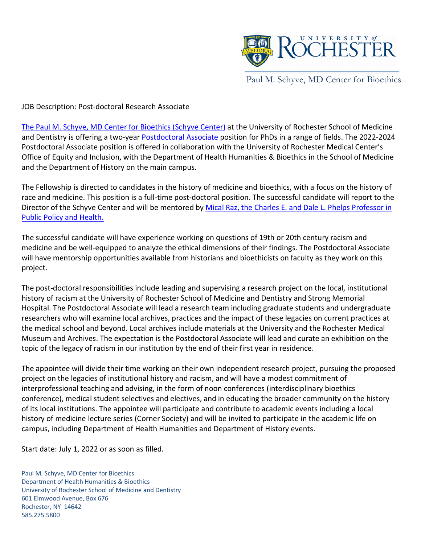

Paul M. Schyve, MD Center for Bioethics

JOB Description: Post-doctoral Research Associate

[The Paul M. Schyve, MD Center for Bioethics \(Schyve Center\)](https://www.urmc.rochester.edu/paul-m-schyve-md-center-for-bioethics.aspx) at the University of Rochester School of Medicine and Dentistry is offering a two-year [Postdoctoral Associate](https://www.rochester.edu/graduate-education/postdoctoral-appointees/) position for PhDs in a range of fields. The 2022-2024 Postdoctoral Associate position is offered in collaboration with the University of Rochester Medical Center's Office of Equity and Inclusion, with the Department of Health Humanities & Bioethics in the School of Medicine and the Department of History on the main campus.

The Fellowship is directed to candidates in the history of medicine and bioethics, with a focus on the history of race and medicine. This position is a full-time post-doctoral position. The successful candidate will report to the Director of the Schyve Center and will be mentored by Mical Raz, the Charles E. and Dale L. Phelps Professor in [Public Policy and Health.](https://www.sas.rochester.edu/his/people/faculty/raz-mical/index.html) 

The successful candidate will have experience working on questions of 19th or 20th century racism and medicine and be well-equipped to analyze the ethical dimensions of their findings. The Postdoctoral Associate will have mentorship opportunities available from historians and bioethicists on faculty as they work on this project.

The post-doctoral responsibilities include leading and supervising a research project on the local, institutional history of racism at the University of Rochester School of Medicine and Dentistry and Strong Memorial Hospital. The Postdoctoral Associate will lead a research team including graduate students and undergraduate researchers who will examine local archives, practices and the impact of these legacies on current practices at the medical school and beyond. Local archives include materials at the University and the Rochester Medical Museum and Archives. The expectation is the Postdoctoral Associate will lead and curate an exhibition on the topic of the legacy of racism in our institution by the end of their first year in residence.

The appointee will divide their time working on their own independent research project, pursuing the proposed project on the legacies of institutional history and racism, and will have a modest commitment of interprofessional teaching and advising, in the form of noon conferences (interdisciplinary bioethics conference), medical student selectives and electives, and in educating the broader community on the history of its local institutions. The appointee will participate and contribute to academic events including a local history of medicine lecture series (Corner Society) and will be invited to participate in the academic life on campus, including Department of Health Humanities and Department of History events.

Start date: July 1, 2022 or as soon as filled.

Paul M. Schyve, MD Center for Bioethics Department of Health Humanities & Bioethics University of Rochester School of Medicine and Dentistry 601 Elmwood Avenue, Box 676 Rochester, NY 14642 585.275.5800